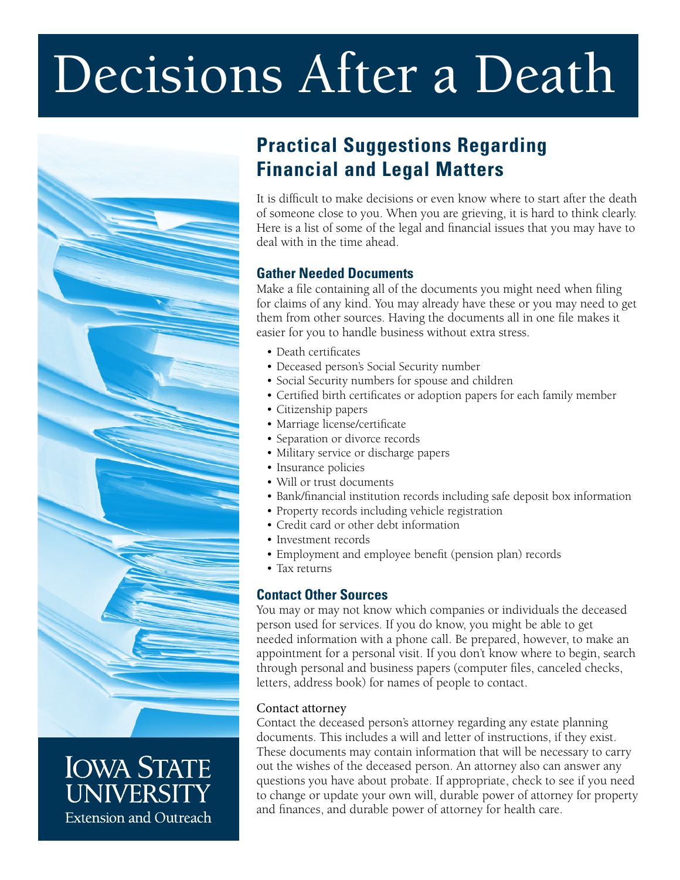# Decisions After a Death



# **IOWA STATE** UNIVERSITY **Extension and Outreach**

# **Practical Suggestions Regarding Financial and Legal Matters**

It is difficult to make decisions or even know where to start after the death of someone close to you. When you are grieving, it is hard to think clearly. Here is a list of some of the legal and financial issues that you may have to deal with in the time ahead.

# **Gather Needed Documents**

Make a file containing all of the documents you might need when filing for claims of any kind. You may already have these or you may need to get them from other sources. Having the documents all in one file makes it easier for you to handle business without extra stress.

- Death certificates
- Deceased person's Social Security number
- Social Security numbers for spouse and children
- Certified birth certificates or adoption papers for each family member
- Citizenship papers
- Marriage license/certificate
- Separation or divorce records
- Military service or discharge papers
- Insurance policies
- Will or trust documents
- Bank/financial institution records including safe deposit box information
- Property records including vehicle registration
- Credit card or other debt information
- Investment records
- Employment and employee benefit (pension plan) records
- Tax returns

## **Contact Other Sources**

You may or may not know which companies or individuals the deceased person used for services. If you do know, you might be able to get needed information with a phone call. Be prepared, however, to make an appointment for a personal visit. If you don't know where to begin, search through personal and business papers (computer files, canceled checks, letters, address book) for names of people to contact.

## Contact attorney

Contact the deceased person's attorney regarding any estate planning documents. This includes a will and letter of instructions, if they exist. These documents may contain information that will be necessary to carry out the wishes of the deceased person. An attorney also can answer any questions you have about probate. If appropriate, check to see if you need to change or update your own will, durable power of attorney for property and finances, and durable power of attorney for health care.